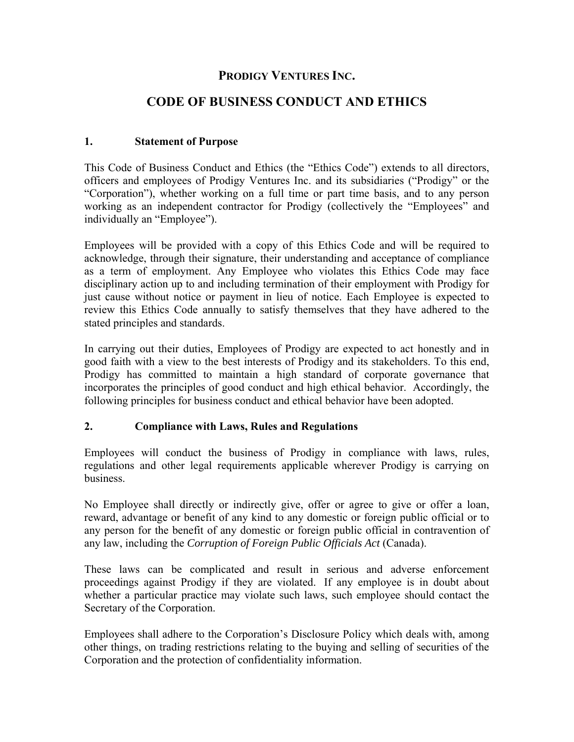# **PRODIGY VENTURES INC.**

# **CODE OF BUSINESS CONDUCT AND ETHICS**

#### **1. Statement of Purpose**

This Code of Business Conduct and Ethics (the "Ethics Code") extends to all directors, officers and employees of Prodigy Ventures Inc. and its subsidiaries ("Prodigy" or the "Corporation"), whether working on a full time or part time basis, and to any person working as an independent contractor for Prodigy (collectively the "Employees" and individually an "Employee").

Employees will be provided with a copy of this Ethics Code and will be required to acknowledge, through their signature, their understanding and acceptance of compliance as a term of employment. Any Employee who violates this Ethics Code may face disciplinary action up to and including termination of their employment with Prodigy for just cause without notice or payment in lieu of notice. Each Employee is expected to review this Ethics Code annually to satisfy themselves that they have adhered to the stated principles and standards.

In carrying out their duties, Employees of Prodigy are expected to act honestly and in good faith with a view to the best interests of Prodigy and its stakeholders. To this end, Prodigy has committed to maintain a high standard of corporate governance that incorporates the principles of good conduct and high ethical behavior. Accordingly, the following principles for business conduct and ethical behavior have been adopted.

#### **2. Compliance with Laws, Rules and Regulations**

Employees will conduct the business of Prodigy in compliance with laws, rules, regulations and other legal requirements applicable wherever Prodigy is carrying on business.

No Employee shall directly or indirectly give, offer or agree to give or offer a loan, reward, advantage or benefit of any kind to any domestic or foreign public official or to any person for the benefit of any domestic or foreign public official in contravention of any law, including the *Corruption of Foreign Public Officials Act* (Canada).

These laws can be complicated and result in serious and adverse enforcement proceedings against Prodigy if they are violated. If any employee is in doubt about whether a particular practice may violate such laws, such employee should contact the Secretary of the Corporation.

Employees shall adhere to the Corporation's Disclosure Policy which deals with, among other things, on trading restrictions relating to the buying and selling of securities of the Corporation and the protection of confidentiality information.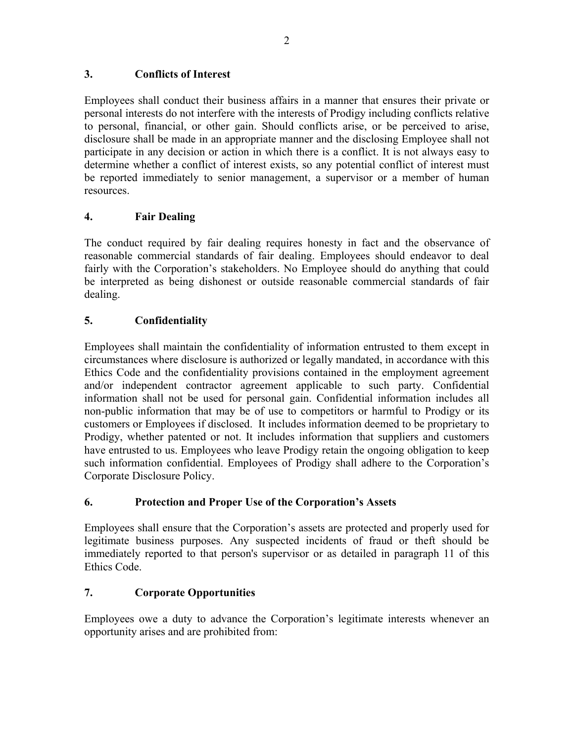### **3. Conflicts of Interest**

Employees shall conduct their business affairs in a manner that ensures their private or personal interests do not interfere with the interests of Prodigy including conflicts relative to personal, financial, or other gain. Should conflicts arise, or be perceived to arise, disclosure shall be made in an appropriate manner and the disclosing Employee shall not participate in any decision or action in which there is a conflict. It is not always easy to determine whether a conflict of interest exists, so any potential conflict of interest must be reported immediately to senior management, a supervisor or a member of human resources.

# **4. Fair Dealing**

The conduct required by fair dealing requires honesty in fact and the observance of reasonable commercial standards of fair dealing. Employees should endeavor to deal fairly with the Corporation's stakeholders. No Employee should do anything that could be interpreted as being dishonest or outside reasonable commercial standards of fair dealing.

### **5. Confidentiality**

Employees shall maintain the confidentiality of information entrusted to them except in circumstances where disclosure is authorized or legally mandated, in accordance with this Ethics Code and the confidentiality provisions contained in the employment agreement and/or independent contractor agreement applicable to such party. Confidential information shall not be used for personal gain. Confidential information includes all non-public information that may be of use to competitors or harmful to Prodigy or its customers or Employees if disclosed. It includes information deemed to be proprietary to Prodigy, whether patented or not. It includes information that suppliers and customers have entrusted to us. Employees who leave Prodigy retain the ongoing obligation to keep such information confidential. Employees of Prodigy shall adhere to the Corporation's Corporate Disclosure Policy.

# **6. Protection and Proper Use of the Corporation's Assets**

Employees shall ensure that the Corporation's assets are protected and properly used for legitimate business purposes. Any suspected incidents of fraud or theft should be immediately reported to that person's supervisor or as detailed in paragraph 11 of this Ethics Code.

#### **7. Corporate Opportunities**

Employees owe a duty to advance the Corporation's legitimate interests whenever an opportunity arises and are prohibited from: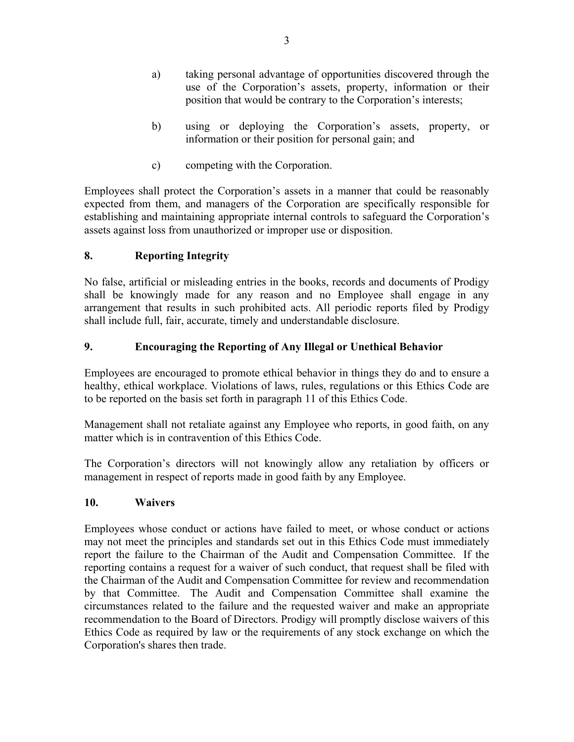- a) taking personal advantage of opportunities discovered through the use of the Corporation's assets, property, information or their position that would be contrary to the Corporation's interests;
- b) using or deploying the Corporation's assets, property, or information or their position for personal gain; and
- c) competing with the Corporation.

Employees shall protect the Corporation's assets in a manner that could be reasonably expected from them, and managers of the Corporation are specifically responsible for establishing and maintaining appropriate internal controls to safeguard the Corporation's assets against loss from unauthorized or improper use or disposition.

# **8. Reporting Integrity**

No false, artificial or misleading entries in the books, records and documents of Prodigy shall be knowingly made for any reason and no Employee shall engage in any arrangement that results in such prohibited acts. All periodic reports filed by Prodigy shall include full, fair, accurate, timely and understandable disclosure.

# **9. Encouraging the Reporting of Any Illegal or Unethical Behavior**

Employees are encouraged to promote ethical behavior in things they do and to ensure a healthy, ethical workplace. Violations of laws, rules, regulations or this Ethics Code are to be reported on the basis set forth in paragraph 11 of this Ethics Code.

Management shall not retaliate against any Employee who reports, in good faith, on any matter which is in contravention of this Ethics Code.

The Corporation's directors will not knowingly allow any retaliation by officers or management in respect of reports made in good faith by any Employee.

# **10. Waivers**

Employees whose conduct or actions have failed to meet, or whose conduct or actions may not meet the principles and standards set out in this Ethics Code must immediately report the failure to the Chairman of the Audit and Compensation Committee. If the reporting contains a request for a waiver of such conduct, that request shall be filed with the Chairman of the Audit and Compensation Committee for review and recommendation by that Committee. The Audit and Compensation Committee shall examine the circumstances related to the failure and the requested waiver and make an appropriate recommendation to the Board of Directors. Prodigy will promptly disclose waivers of this Ethics Code as required by law or the requirements of any stock exchange on which the Corporation's shares then trade.